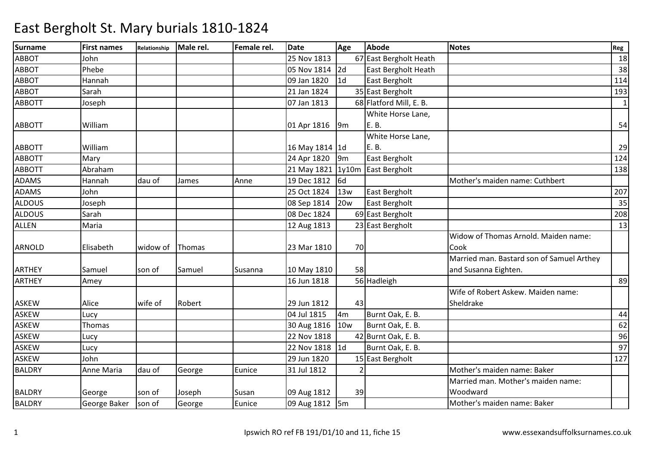| <b>Surname</b> | <b>First names</b> | Relationship | Male rel. | Female rel. | <b>Date</b>       | Age             | Abode                   | <b>Notes</b>                              | Reg          |
|----------------|--------------------|--------------|-----------|-------------|-------------------|-----------------|-------------------------|-------------------------------------------|--------------|
| <b>ABBOT</b>   | John               |              |           |             | 25 Nov 1813       |                 | 67 East Bergholt Heath  |                                           | 18           |
| <b>ABBOT</b>   | Phebe              |              |           |             | 05 Nov 1814       | 2d              | East Bergholt Heath     |                                           | 38           |
| <b>ABBOT</b>   | Hannah             |              |           |             | 09 Jan 1820       | 1 <sub>d</sub>  | East Bergholt           |                                           | 114          |
| <b>ABBOT</b>   | Sarah              |              |           |             | 21 Jan 1824       |                 | 35 East Bergholt        |                                           | 193          |
| <b>ABBOTT</b>  | Joseph             |              |           |             | 07 Jan 1813       |                 | 68 Flatford Mill, E. B. |                                           | $\mathbf{1}$ |
|                |                    |              |           |             |                   |                 | White Horse Lane,       |                                           |              |
| <b>ABBOTT</b>  | William            |              |           |             | 01 Apr 1816       | 9m              | E.B.                    |                                           | 54           |
|                |                    |              |           |             |                   |                 | White Horse Lane,       |                                           |              |
| <b>ABBOTT</b>  | William            |              |           |             | 16 May 1814 1d    |                 | E. B.                   |                                           | 29           |
| <b>ABBOTT</b>  | Mary               |              |           |             | 24 Apr 1820       | 9 <sub>m</sub>  | East Bergholt           |                                           | 124          |
| <b>ABBOTT</b>  | Abraham            |              |           |             | 21 May 1821 1y10m |                 | East Bergholt           |                                           | 138          |
| <b>ADAMS</b>   | Hannah             | dau of       | James     | Anne        | 19 Dec 1812       | l <sub>6d</sub> |                         | Mother's maiden name: Cuthbert            |              |
| <b>ADAMS</b>   | John               |              |           |             | 25 Oct 1824       | 13w             | East Bergholt           |                                           | 207          |
| <b>ALDOUS</b>  | Joseph             |              |           |             | 08 Sep 1814       | <b>20w</b>      | East Bergholt           |                                           | 35           |
| <b>ALDOUS</b>  | Sarah              |              |           |             | 08 Dec 1824       |                 | 69 East Bergholt        |                                           | 208          |
| <b>ALLEN</b>   | Maria              |              |           |             | 12 Aug 1813       |                 | 23 East Bergholt        |                                           | 13           |
|                |                    |              |           |             |                   |                 |                         | Widow of Thomas Arnold. Maiden name:      |              |
| <b>ARNOLD</b>  | Elisabeth          | widow of     | Thomas    |             | 23 Mar 1810       | 70              |                         | Cook                                      |              |
|                |                    |              |           |             |                   |                 |                         | Married man. Bastard son of Samuel Arthey |              |
| <b>ARTHEY</b>  | Samuel             | son of       | Samuel    | Susanna     | 10 May 1810       | 58              |                         | and Susanna Eighten.                      |              |
| <b>ARTHEY</b>  | Amey               |              |           |             | 16 Jun 1818       |                 | 56 Hadleigh             |                                           | 89           |
|                |                    |              |           |             |                   |                 |                         | Wife of Robert Askew. Maiden name:        |              |
| <b>ASKEW</b>   | Alice              | wife of      | Robert    |             | 29 Jun 1812       | 43              |                         | Sheldrake                                 |              |
| <b>ASKEW</b>   | Lucy               |              |           |             | 04 Jul 1815       | 4m              | Burnt Oak, E. B.        |                                           | 44           |
| <b>ASKEW</b>   | Thomas             |              |           |             | 30 Aug 1816       | 10w             | Burnt Oak, E. B.        |                                           | 62           |
| <b>ASKEW</b>   | Lucy               |              |           |             | 22 Nov 1818       |                 | 42 Burnt Oak, E. B.     |                                           | 96           |
| <b>ASKEW</b>   | Lucy               |              |           |             | 22 Nov 1818 1d    |                 | Burnt Oak, E. B.        |                                           | 97           |
| <b>ASKEW</b>   | John               |              |           |             | 29 Jun 1820       |                 | 15 East Bergholt        |                                           | 127          |
| <b>BALDRY</b>  | Anne Maria         | dau of       | George    | Eunice      | 31 Jul 1812       | $\mathcal{P}$   |                         | Mother's maiden name: Baker               |              |
|                |                    |              |           |             |                   |                 |                         | Married man. Mother's maiden name:        |              |
| <b>BALDRY</b>  | George             | son of       | Joseph    | Susan       | 09 Aug 1812       | 39              |                         | Woodward                                  |              |
| <b>BALDRY</b>  | George Baker       | son of       | George    | Eunice      | 09 Aug 1812 5m    |                 |                         | Mother's maiden name: Baker               |              |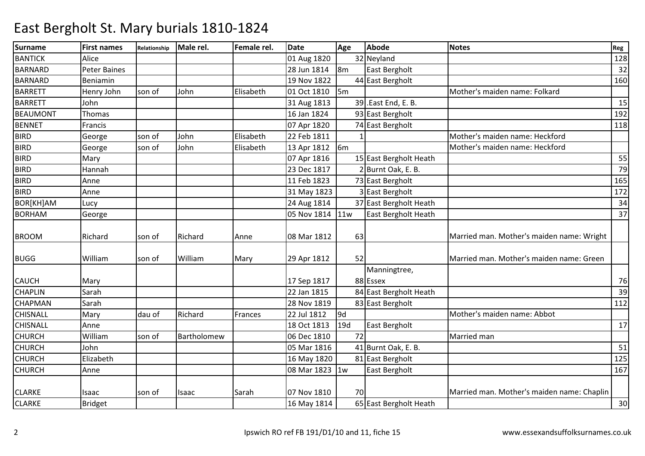| <b>Surname</b>   | <b>First names</b> | Relationship | Male rel.   | Female rel. | <b>Date</b> | Age            | <b>Abode</b>           | <b>Notes</b>                               | Reg |
|------------------|--------------------|--------------|-------------|-------------|-------------|----------------|------------------------|--------------------------------------------|-----|
| <b>BANTICK</b>   | Alice              |              |             |             | 01 Aug 1820 |                | 32 Neyland             |                                            | 128 |
| <b>BARNARD</b>   | Peter Baines       |              |             |             | 28 Jun 1814 | 8m             | East Bergholt          |                                            | 32  |
| <b>BARNARD</b>   | Beniamin           |              |             |             | 19 Nov 1822 |                | 44 East Bergholt       |                                            | 160 |
| <b>BARRETT</b>   | Henry John         | son of       | John        | Elisabeth   | 01 Oct 1810 | 5 <sub>m</sub> |                        | Mother's maiden name: Folkard              |     |
| <b>BARRETT</b>   | John               |              |             |             | 31 Aug 1813 |                | 39 .East End, E. B.    |                                            | 15  |
| <b>BEAUMONT</b>  | <b>Thomas</b>      |              |             |             | 16 Jan 1824 |                | 93 East Bergholt       |                                            | 192 |
| <b>BENNET</b>    | Francis            |              |             |             | 07 Apr 1820 |                | 74 East Bergholt       |                                            | 118 |
| <b>BIRD</b>      | George             | son of       | John        | Elisabeth   | 22 Feb 1811 |                |                        | Mother's maiden name: Heckford             |     |
| <b>BIRD</b>      | George             | son of       | John        | Elisabeth   | 13 Apr 1812 | 6 <sub>m</sub> |                        | Mother's maiden name: Heckford             |     |
| <b>BIRD</b>      | Mary               |              |             |             | 07 Apr 1816 |                | 15 East Bergholt Heath |                                            | 55  |
| <b>BIRD</b>      | Hannah             |              |             |             | 23 Dec 1817 |                | 2 Burnt Oak, E. B.     |                                            | 79  |
| <b>BIRD</b>      | Anne               |              |             |             | 11 Feb 1823 |                | 73 East Bergholt       |                                            | 165 |
| <b>BIRD</b>      | Anne               |              |             |             | 31 May 1823 |                | 3 East Bergholt        |                                            | 172 |
| <b>BOR[KH]AM</b> | Lucy               |              |             |             | 24 Aug 1814 |                | 37 East Bergholt Heath |                                            | 34  |
| <b>BORHAM</b>    | George             |              |             |             | 05 Nov 1814 | 11w            | East Bergholt Heath    |                                            | 37  |
|                  |                    |              |             |             |             |                |                        |                                            |     |
| <b>BROOM</b>     | Richard            | son of       | Richard     | Anne        | 08 Mar 1812 | 63             |                        | Married man. Mother's maiden name: Wright  |     |
|                  |                    |              |             |             |             |                |                        |                                            |     |
| <b>BUGG</b>      | William            | son of       | William     | Mary        | 29 Apr 1812 | 52             |                        | Married man. Mother's maiden name: Green   |     |
|                  |                    |              |             |             |             |                | Manningtree,           |                                            |     |
| <b>CAUCH</b>     | Mary               |              |             |             | 17 Sep 1817 |                | 88 Essex               |                                            | 76  |
| <b>CHAPLIN</b>   | Sarah              |              |             |             | 22 Jan 1815 |                | 84 East Bergholt Heath |                                            | 39  |
| <b>CHAPMAN</b>   | Sarah              |              |             |             | 28 Nov 1819 |                | 83 East Bergholt       |                                            | 112 |
| <b>CHISNALL</b>  | Mary               | dau of       | Richard     | Frances     | 22 Jul 1812 | 9d             |                        | Mother's maiden name: Abbot                |     |
| <b>CHISNALL</b>  | Anne               |              |             |             | 18 Oct 1813 | 19d            | East Bergholt          |                                            | 17  |
| <b>CHURCH</b>    | William            | son of       | Bartholomew |             | 06 Dec 1810 | 72             |                        | Married man                                |     |
| <b>CHURCH</b>    | John               |              |             |             | 05 Mar 1816 |                | 41 Burnt Oak, E. B.    |                                            | 51  |
| <b>CHURCH</b>    | Elizabeth          |              |             |             | 16 May 1820 |                | 81 East Bergholt       |                                            | 125 |
| <b>CHURCH</b>    | Anne               |              |             |             | 08 Mar 1823 | 1w             | <b>East Bergholt</b>   |                                            | 167 |
|                  |                    |              |             |             |             |                |                        |                                            |     |
| <b>CLARKE</b>    | Isaac              | son of       | Isaac       | Sarah       | 07 Nov 1810 | 70             |                        | Married man. Mother's maiden name: Chaplin |     |
| <b>CLARKE</b>    | Bridget            |              |             |             | 16 May 1814 |                | 65 East Bergholt Heath |                                            | 30  |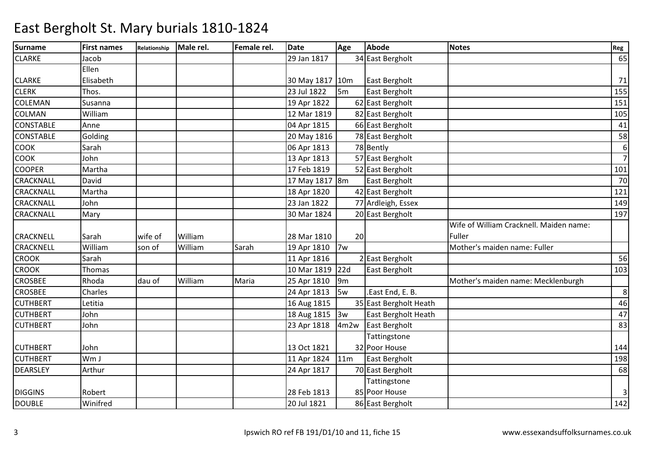| <b>Surname</b>   | <b>First names</b> | Relationship | Male rel. | Female rel. | <b>Date</b>     | Age            | <b>Abode</b>           | <b>Notes</b>                            | Reg              |
|------------------|--------------------|--------------|-----------|-------------|-----------------|----------------|------------------------|-----------------------------------------|------------------|
| <b>CLARKE</b>    | Jacob              |              |           |             | 29 Jan 1817     |                | 34 East Bergholt       |                                         | 65               |
|                  | Ellen              |              |           |             |                 |                |                        |                                         |                  |
| <b>CLARKE</b>    | Elisabeth          |              |           |             | 30 May 1817 10m |                | East Bergholt          |                                         | 71               |
| <b>CLERK</b>     | Thos.              |              |           |             | 23 Jul 1822     | 5 <sub>m</sub> | East Bergholt          |                                         | 155              |
| <b>COLEMAN</b>   | Susanna            |              |           |             | 19 Apr 1822     |                | 62 East Bergholt       |                                         | 151              |
| <b>COLMAN</b>    | William            |              |           |             | 12 Mar 1819     |                | 82 East Bergholt       |                                         | 105              |
| <b>CONSTABLE</b> | Anne               |              |           |             | 04 Apr 1815     |                | 66 East Bergholt       |                                         | 41               |
| <b>CONSTABLE</b> | Golding            |              |           |             | 20 May 1816     |                | 78 East Bergholt       |                                         | 58               |
| <b>COOK</b>      | Sarah              |              |           |             | 06 Apr 1813     |                | 78 Bently              |                                         | $\boldsymbol{6}$ |
| <b>COOK</b>      | John               |              |           |             | 13 Apr 1813     |                | 57 East Bergholt       |                                         | $\overline{7}$   |
| <b>COOPER</b>    | Martha             |              |           |             | 17 Feb 1819     |                | 52 East Bergholt       |                                         | 101              |
| CRACKNALL        | David              |              |           |             | 17 May 1817 8m  |                | East Bergholt          |                                         | 70               |
| <b>CRACKNALL</b> | Martha             |              |           |             | 18 Apr 1820     |                | 42 East Bergholt       |                                         | 121              |
| <b>CRACKNALL</b> | John               |              |           |             | 23 Jan 1822     |                | 77 Ardleigh, Essex     |                                         | 149              |
| <b>CRACKNALL</b> | Mary               |              |           |             | 30 Mar 1824     |                | 20 East Bergholt       |                                         | 197              |
|                  |                    |              |           |             |                 |                |                        | Wife of William Cracknell. Maiden name: |                  |
| <b>CRACKNELL</b> | Sarah              | wife of      | William   |             | 28 Mar 1810     | 20             |                        | Fuller                                  |                  |
| <b>CRACKNELL</b> | William            | son of       | William   | Sarah       | 19 Apr 1810     | 7w             |                        | Mother's maiden name: Fuller            |                  |
| <b>CROOK</b>     | Sarah              |              |           |             | 11 Apr 1816     |                | 2 East Bergholt        |                                         | 56               |
| <b>CROOK</b>     | Thomas             |              |           |             | 10 Mar 1819     | 22d            | East Bergholt          |                                         | 103              |
| <b>CROSBEE</b>   | Rhoda              | dau of       | William   | Maria       | 25 Apr 1810     | 9 <sub>m</sub> |                        | Mother's maiden name: Mecklenburgh      |                  |
| <b>CROSBEE</b>   | Charles            |              |           |             | 24 Apr 1813     | 5w             | .East End, E. B.       |                                         | $\,8\,$          |
| <b>CUTHBERT</b>  | Letitia            |              |           |             | 16 Aug 1815     |                | 35 East Bergholt Heath |                                         | 46               |
| <b>CUTHBERT</b>  | John               |              |           |             | 18 Aug 1815     | 3w             | East Bergholt Heath    |                                         | 47               |
| <b>CUTHBERT</b>  | John               |              |           |             | 23 Apr 1818     | 4m2w           | East Bergholt          |                                         | 83               |
|                  |                    |              |           |             |                 |                | Tattingstone           |                                         |                  |
| <b>CUTHBERT</b>  | John               |              |           |             | 13 Oct 1821     |                | 32 Poor House          |                                         | 144              |
| <b>CUTHBERT</b>  | Wm J               |              |           |             | 11 Apr 1824     | 11m            | East Bergholt          |                                         | 198              |
| <b>DEARSLEY</b>  | Arthur             |              |           |             | 24 Apr 1817     |                | 70 East Bergholt       |                                         | 68               |
|                  |                    |              |           |             |                 |                | Tattingstone           |                                         |                  |
| <b>DIGGINS</b>   | Robert             |              |           |             | 28 Feb 1813     |                | 85 Poor House          |                                         | $\mathbf{3}$     |
| <b>DOUBLE</b>    | Winifred           |              |           |             | 20 Jul 1821     |                | 86 East Bergholt       |                                         | 142              |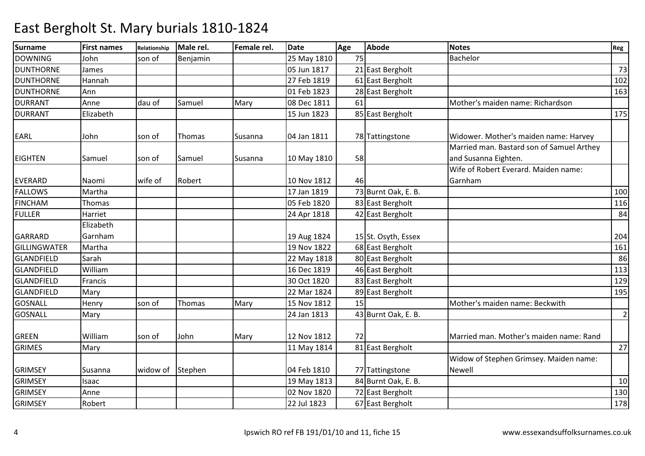| <b>Surname</b>   | <b>First names</b> | Relationship | Male rel. | Female rel. | <b>Date</b> | Age | <b>Abode</b>        | <b>Notes</b>                              | Reg            |
|------------------|--------------------|--------------|-----------|-------------|-------------|-----|---------------------|-------------------------------------------|----------------|
| <b>DOWNING</b>   | John               | son of       | Benjamin  |             | 25 May 1810 | 75  |                     | Bachelor                                  |                |
| <b>DUNTHORNE</b> | James              |              |           |             | 05 Jun 1817 |     | 21 East Bergholt    |                                           | 73             |
| <b>DUNTHORNE</b> | Hannah             |              |           |             | 27 Feb 1819 |     | 61 East Bergholt    |                                           | 102            |
| <b>DUNTHORNE</b> | Ann                |              |           |             | 01 Feb 1823 |     | 28 East Bergholt    |                                           | 163            |
| <b>DURRANT</b>   | Anne               | dau of       | Samuel    | Mary        | 08 Dec 1811 | 61  |                     | Mother's maiden name: Richardson          |                |
| <b>DURRANT</b>   | Elizabeth          |              |           |             | 15 Jun 1823 |     | 85 East Bergholt    |                                           | 175            |
|                  |                    |              |           |             |             |     |                     |                                           |                |
| <b>EARL</b>      | John               | son of       | Thomas    | Susanna     | 04 Jan 1811 |     | 78 Tattingstone     | Widower. Mother's maiden name: Harvey     |                |
|                  |                    |              |           |             |             |     |                     | Married man. Bastard son of Samuel Arthey |                |
| <b>EIGHTEN</b>   | Samuel             | son of       | Samuel    | Susanna     | 10 May 1810 | 58  |                     | and Susanna Eighten.                      |                |
|                  |                    |              |           |             |             |     |                     | Wife of Robert Everard. Maiden name:      |                |
| <b>EVERARD</b>   | Naomi              | wife of      | Robert    |             | 10 Nov 1812 | 461 |                     | Garnham                                   |                |
| <b>FALLOWS</b>   | Martha             |              |           |             | 17 Jan 1819 |     | 73 Burnt Oak, E. B. |                                           | 100            |
| <b>FINCHAM</b>   | Thomas             |              |           |             | 05 Feb 1820 |     | 83 East Bergholt    |                                           | 116            |
| <b>FULLER</b>    | Harriet            |              |           |             | 24 Apr 1818 |     | 42 East Bergholt    |                                           | 84             |
|                  | Elizabeth          |              |           |             |             |     |                     |                                           |                |
| <b>GARRARD</b>   | Garnham            |              |           |             | 19 Aug 1824 |     | 15 St. Osyth, Essex |                                           | 204            |
| GILLINGWATER     | Martha             |              |           |             | 19 Nov 1822 |     | 68 East Bergholt    |                                           | 161            |
| GLANDFIELD       | Sarah              |              |           |             | 22 May 1818 |     | 80 East Bergholt    |                                           | 86             |
| GLANDFIELD       | William            |              |           |             | 16 Dec 1819 |     | 46 East Bergholt    |                                           | 113            |
| GLANDFIELD       | Francis            |              |           |             | 30 Oct 1820 |     | 83 East Bergholt    |                                           | 129            |
| GLANDFIELD       | Mary               |              |           |             | 22 Mar 1824 |     | 89 East Bergholt    |                                           | 195            |
| <b>GOSNALL</b>   | Henry              | son of       | Thomas    | Mary        | 15 Nov 1812 | 15  |                     | Mother's maiden name: Beckwith            |                |
| <b>GOSNALL</b>   | Mary               |              |           |             | 24 Jan 1813 |     | 43 Burnt Oak, E. B. |                                           | $\overline{2}$ |
|                  |                    |              |           |             |             |     |                     |                                           |                |
| <b>GREEN</b>     | William            | son of       | John      | Mary        | 12 Nov 1812 | 72  |                     | Married man. Mother's maiden name: Rand   |                |
| <b>GRIMES</b>    | Mary               |              |           |             | 11 May 1814 |     | 81 East Bergholt    |                                           | 27             |
|                  |                    |              |           |             |             |     |                     | Widow of Stephen Grimsey. Maiden name:    |                |
| <b>GRIMSEY</b>   | Susanna            | widow of     | Stephen   |             | 04 Feb 1810 |     | 77 Tattingstone     | <b>Newell</b>                             |                |
| <b>GRIMSEY</b>   | Isaac              |              |           |             | 19 May 1813 |     | 84 Burnt Oak, E. B. |                                           | 10             |
| <b>GRIMSEY</b>   | Anne               |              |           |             | 02 Nov 1820 |     | 72 East Bergholt    |                                           | 130            |
| <b>GRIMSEY</b>   | Robert             |              |           |             | 22 Jul 1823 |     | 67 East Bergholt    |                                           | 178            |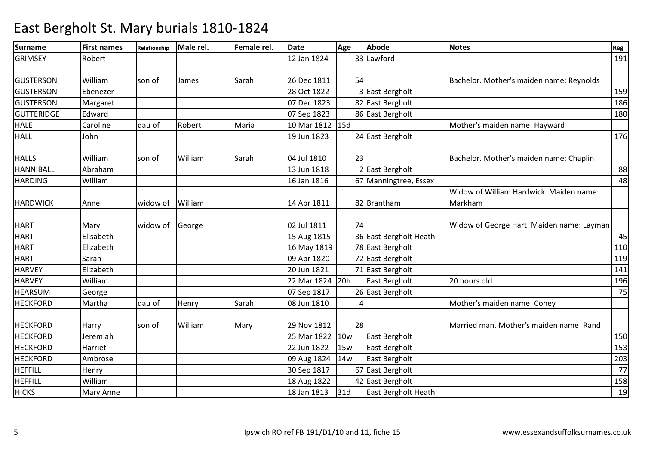| Surname           | <b>First names</b> | Relationship | Male rel. | Female rel. | <b>Date</b>     | Age | <b>Abode</b>           | <b>Notes</b>                              | Reg |
|-------------------|--------------------|--------------|-----------|-------------|-----------------|-----|------------------------|-------------------------------------------|-----|
| <b>GRIMSEY</b>    | Robert             |              |           |             | 12 Jan 1824     |     | 33 Lawford             |                                           | 191 |
|                   |                    |              |           |             |                 |     |                        |                                           |     |
| <b>GUSTERSON</b>  | William            | son of       | James     | Sarah       | 26 Dec 1811     | 54  |                        | Bachelor. Mother's maiden name: Reynolds  |     |
| <b>GUSTERSON</b>  | Ebenezer           |              |           |             | 28 Oct 1822     |     | 3 East Bergholt        |                                           | 159 |
| <b>GUSTERSON</b>  | Margaret           |              |           |             | 07 Dec 1823     |     | 82 East Bergholt       |                                           | 186 |
| <b>GUTTERIDGE</b> | Edward             |              |           |             | 07 Sep 1823     |     | 86 East Bergholt       |                                           | 180 |
| <b>HALE</b>       | Caroline           | dau of       | Robert    | Maria       | 10 Mar 1812 15d |     |                        | Mother's maiden name: Hayward             |     |
| <b>HALL</b>       | John               |              |           |             | 19 Jun 1823     |     | 24 East Bergholt       |                                           | 176 |
|                   |                    |              |           |             |                 |     |                        |                                           |     |
| <b>HALLS</b>      | William            | son of       | William   | Sarah       | 04 Jul 1810     | 23  |                        | Bachelor. Mother's maiden name: Chaplin   |     |
| <b>HANNIBALL</b>  | Abraham            |              |           |             | 13 Jun 1818     |     | 2 East Bergholt        |                                           | 88  |
| <b>HARDING</b>    | William            |              |           |             | 16 Jan 1816     |     | 67 Manningtree, Essex  |                                           | 48  |
|                   |                    |              |           |             |                 |     |                        | Widow of William Hardwick. Maiden name:   |     |
| <b>HARDWICK</b>   | Anne               | widow of     | William   |             | 14 Apr 1811     |     | 82 Brantham            | Markham                                   |     |
|                   |                    |              |           |             |                 |     |                        |                                           |     |
| <b>HART</b>       | Mary               | widow of     | George    |             | 02 Jul 1811     | 74  |                        | Widow of George Hart. Maiden name: Layman |     |
| <b>HART</b>       | Elisabeth          |              |           |             | 15 Aug 1815     |     | 36 East Bergholt Heath |                                           | 45  |
| <b>HART</b>       | Elizabeth          |              |           |             | 16 May 1819     |     | 78 East Bergholt       |                                           | 110 |
| <b>HART</b>       | Sarah              |              |           |             | 09 Apr 1820     |     | 72 East Bergholt       |                                           | 119 |
| <b>HARVEY</b>     | Elizabeth          |              |           |             | 20 Jun 1821     |     | 71 East Bergholt       |                                           | 141 |
| <b>HARVEY</b>     | William            |              |           |             | 22 Mar 1824     | 20h | East Bergholt          | 20 hours old                              | 196 |
| <b>HEARSUM</b>    | George             |              |           |             | 07 Sep 1817     |     | 26 East Bergholt       |                                           | 75  |
| <b>HECKFORD</b>   | Martha             | dau of       | Henry     | Sarah       | 08 Jun 1810     |     |                        | Mother's maiden name: Coney               |     |
|                   |                    |              |           |             |                 |     |                        |                                           |     |
| <b>HECKFORD</b>   | Harry              | son of       | William   | Mary        | 29 Nov 1812     | 28  |                        | Married man. Mother's maiden name: Rand   |     |
| <b>HECKFORD</b>   | Jeremiah           |              |           |             | 25 Mar 1822     | 10w | East Bergholt          |                                           | 150 |
| <b>HECKFORD</b>   | Harriet            |              |           |             | 22 Jun 1822     | 15w | East Bergholt          |                                           | 153 |
| <b>HECKFORD</b>   | Ambrose            |              |           |             | 09 Aug 1824     | 14w | East Bergholt          |                                           | 203 |
| <b>HEFFILL</b>    | Henry              |              |           |             | 30 Sep 1817     |     | 67 East Bergholt       |                                           | 77  |
| <b>HEFFILL</b>    | William            |              |           |             | 18 Aug 1822     |     | 42 East Bergholt       |                                           | 158 |
| <b>HICKS</b>      | Mary Anne          |              |           |             | 18 Jan 1813     | 31d | East Bergholt Heath    |                                           | 19  |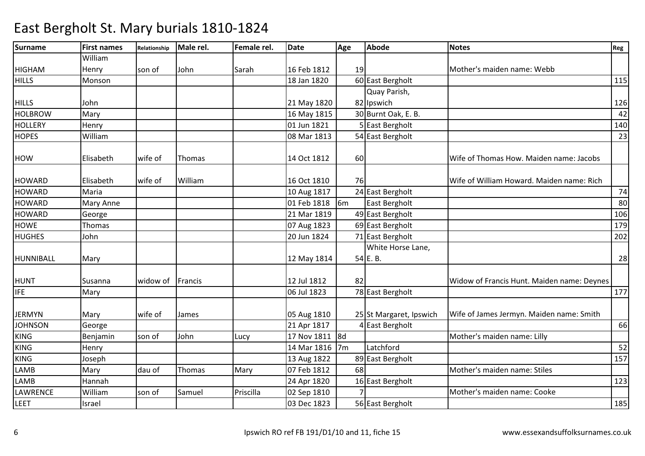| <b>Surname</b>  | <b>First names</b> | Relationship | Male rel. | Female rel. | <b>Date</b>    | Age            | <b>Abode</b>            | <b>Notes</b>                               | Reg |
|-----------------|--------------------|--------------|-----------|-------------|----------------|----------------|-------------------------|--------------------------------------------|-----|
|                 | William            |              |           |             |                |                |                         |                                            |     |
| <b>HIGHAM</b>   | Henry              | son of       | John      | Sarah       | 16 Feb 1812    | 19             |                         | Mother's maiden name: Webb                 |     |
| <b>HILLS</b>    | Monson             |              |           |             | 18 Jan 1820    |                | 60 East Bergholt        |                                            | 115 |
|                 |                    |              |           |             |                |                | Quay Parish,            |                                            |     |
| <b>HILLS</b>    | John               |              |           |             | 21 May 1820    |                | 82 Ipswich              |                                            | 126 |
| <b>HOLBROW</b>  | Mary               |              |           |             | 16 May 1815    |                | 30 Burnt Oak, E. B.     |                                            | 42  |
| <b>HOLLERY</b>  | Henry              |              |           |             | 01 Jun 1821    |                | 5 East Bergholt         |                                            | 140 |
| <b>HOPES</b>    | William            |              |           |             | 08 Mar 1813    |                | 54 East Bergholt        |                                            | 23  |
| <b>HOW</b>      | Elisabeth          | wife of      | Thomas    |             | 14 Oct 1812    | 60             |                         | Wife of Thomas How. Maiden name: Jacobs    |     |
| <b>HOWARD</b>   | Elisabeth          | wife of      | William   |             | 16 Oct 1810    | 76             |                         | Wife of William Howard. Maiden name: Rich  |     |
| <b>HOWARD</b>   | Maria              |              |           |             | 10 Aug 1817    |                | 24 East Bergholt        |                                            | 74  |
| <b>HOWARD</b>   | Mary Anne          |              |           |             | 01 Feb 1818    | 6 <sub>m</sub> | East Bergholt           |                                            | 80  |
| <b>HOWARD</b>   | George             |              |           |             | 21 Mar 1819    |                | 49 East Bergholt        |                                            | 106 |
| <b>HOWE</b>     | Thomas             |              |           |             | 07 Aug 1823    |                | 69 East Bergholt        |                                            | 179 |
| <b>HUGHES</b>   | John               |              |           |             | 20 Jun 1824    |                | 71 East Bergholt        |                                            | 202 |
|                 |                    |              |           |             |                |                | White Horse Lane,       |                                            |     |
| HUNNIBALL       | Mary               |              |           |             | 12 May 1814    |                | 54 E.B.                 |                                            | 28  |
| <b>HUNT</b>     | Susanna            | widow of     | Francis   |             | 12 Jul 1812    | 82             |                         | Widow of Francis Hunt. Maiden name: Deynes |     |
| <b>IFE</b>      | Mary               |              |           |             | 06 Jul 1823    |                | 78 East Bergholt        |                                            | 177 |
| <b>JERMYN</b>   | Mary               | wife of      | James     |             | 05 Aug 1810    |                | 25 St Margaret, Ipswich | Wife of James Jermyn. Maiden name: Smith   |     |
| <b>JOHNSON</b>  | George             |              |           |             | 21 Apr 1817    |                | 4 East Bergholt         |                                            | 66  |
| <b>KING</b>     | Benjamin           | son of       | John      | Lucy        | 17 Nov 1811 8d |                |                         | Mother's maiden name: Lilly                |     |
| <b>KING</b>     | Henry              |              |           |             | 14 Mar 1816    | 7 <sub>m</sub> | Latchford               |                                            | 52  |
| <b>KING</b>     | Joseph             |              |           |             | 13 Aug 1822    |                | 89 East Bergholt        |                                            | 157 |
| <b>LAMB</b>     | Mary               | dau of       | Thomas    | Mary        | 07 Feb 1812    | 68             |                         | Mother's maiden name: Stiles               |     |
| LAMB            | Hannah             |              |           |             | 24 Apr 1820    |                | 16 East Bergholt        |                                            | 123 |
| <b>LAWRENCE</b> | William            | son of       | Samuel    | Priscilla   | 02 Sep 1810    |                |                         | Mother's maiden name: Cooke                |     |
| <b>LEET</b>     | Israel             |              |           |             | 03 Dec 1823    |                | 56 East Bergholt        |                                            | 185 |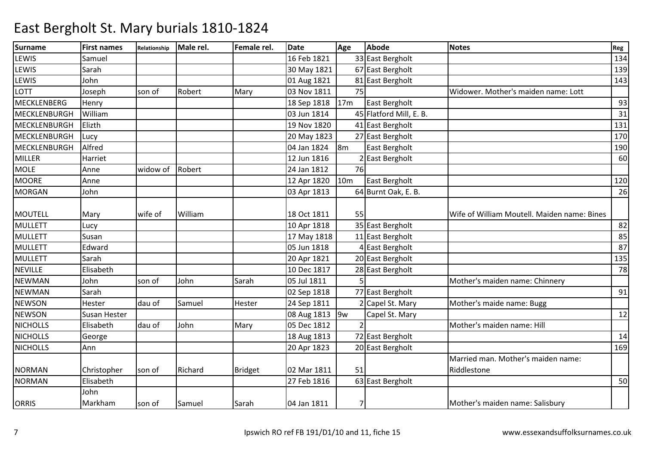| <b>Surname</b>  | <b>First names</b>  | Relationship | Male rel. | Female rel.    | <b>Date</b>    | Age             | <b>Abode</b>            | <b>Notes</b>                                | Reg |
|-----------------|---------------------|--------------|-----------|----------------|----------------|-----------------|-------------------------|---------------------------------------------|-----|
| <b>LEWIS</b>    | Samuel              |              |           |                | 16 Feb 1821    |                 | 33 East Bergholt        |                                             | 134 |
| <b>LEWIS</b>    | Sarah               |              |           |                | 30 May 1821    |                 | 67 East Bergholt        |                                             | 139 |
| LEWIS           | John                |              |           |                | 01 Aug 1821    |                 | 81 East Bergholt        |                                             | 143 |
| LOTT            | Joseph              | son of       | Robert    | Mary           | 03 Nov 1811    | 75              |                         | Widower. Mother's maiden name: Lott         |     |
| MECKLENBERG     | Henry               |              |           |                | 18 Sep 1818    | 17 <sub>m</sub> | East Bergholt           |                                             | 93  |
| MECKLENBURGH    | William             |              |           |                | 03 Jun 1814    |                 | 45 Flatford Mill, E. B. |                                             | 31  |
| MECKLENBURGH    | Elizth              |              |           |                | 19 Nov 1820    |                 | 41 East Bergholt        |                                             | 131 |
| MECKLENBURGH    | Lucy                |              |           |                | 20 May 1823    |                 | 27 East Bergholt        |                                             | 170 |
| MECKLENBURGH    | Alfred              |              |           |                | 04 Jan 1824    | 8 <sub>m</sub>  | East Bergholt           |                                             | 190 |
| <b>MILLER</b>   | Harriet             |              |           |                | 12 Jun 1816    |                 | 2 East Bergholt         |                                             | 60  |
| <b>MOLE</b>     | Anne                | widow of     | Robert    |                | 24 Jan 1812    | 76              |                         |                                             |     |
| <b>MOORE</b>    | Anne                |              |           |                | 12 Apr 1820    | 10 <sub>m</sub> | East Bergholt           |                                             | 120 |
| <b>MORGAN</b>   | John                |              |           |                | 03 Apr 1813    |                 | 64 Burnt Oak, E. B.     |                                             | 26  |
|                 |                     |              |           |                |                |                 |                         |                                             |     |
| MOUTELL         | Mary                | wife of      | William   |                | 18 Oct 1811    | 55              |                         | Wife of William Moutell. Maiden name: Bines |     |
| MULLETT         | Lucy                |              |           |                | 10 Apr 1818    |                 | 35 East Bergholt        |                                             | 82  |
| MULLETT         | Susan               |              |           |                | 17 May 1818    |                 | 11 East Bergholt        |                                             | 85  |
| <b>MULLETT</b>  | Edward              |              |           |                | 05 Jun 1818    |                 | 4 East Bergholt         |                                             | 87  |
| <b>MULLETT</b>  | Sarah               |              |           |                | 20 Apr 1821    |                 | 20 East Bergholt        |                                             | 135 |
| <b>NEVILLE</b>  | Elisabeth           |              |           |                | 10 Dec 1817    |                 | 28 East Bergholt        |                                             | 78  |
| <b>NEWMAN</b>   | John                | son of       | John      | Sarah          | 05 Jul 1811    |                 |                         | Mother's maiden name: Chinnery              |     |
| <b>NEWMAN</b>   | Sarah               |              |           |                | 02 Sep 1818    |                 | 77 East Bergholt        |                                             | 91  |
| <b>NEWSON</b>   | Hester              | dau of       | Samuel    | Hester         | 24 Sep 1811    |                 | Capel St. Mary          | Mother's maide name: Bugg                   |     |
| <b>NEWSON</b>   | <b>Susan Hester</b> |              |           |                | 08 Aug 1813 9w |                 | Capel St. Mary          |                                             | 12  |
| <b>NICHOLLS</b> | Elisabeth           | dau of       | John      | Mary           | 05 Dec 1812    |                 |                         | Mother's maiden name: Hill                  |     |
| <b>NICHOLLS</b> | George              |              |           |                | 18 Aug 1813    |                 | 72 East Bergholt        |                                             | 14  |
| <b>NICHOLLS</b> | Ann                 |              |           |                | 20 Apr 1823    |                 | 20 East Bergholt        |                                             | 169 |
|                 |                     |              |           |                |                |                 |                         | Married man. Mother's maiden name:          |     |
| <b>NORMAN</b>   | Christopher         | son of       | Richard   | <b>Bridget</b> | 02 Mar 1811    | 51              |                         | Riddlestone                                 |     |
| <b>NORMAN</b>   | Elisabeth           |              |           |                | 27 Feb 1816    |                 | 63 East Bergholt        |                                             | 50  |
|                 | John                |              |           |                |                |                 |                         |                                             |     |
| <b>ORRIS</b>    | Markham             | son of       | Samuel    | Sarah          | 04 Jan 1811    | 7               |                         | Mother's maiden name: Salisbury             |     |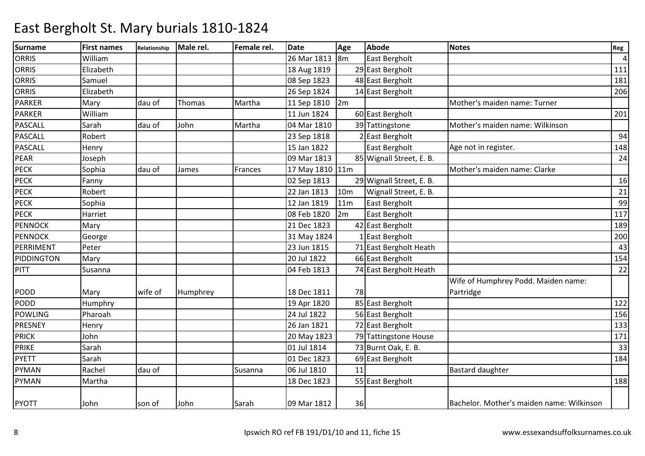| <b>Surname</b>    | <b>First names</b> | Relationship | Male rel.     | Female rel. | <b>Date</b>     | Age             | <b>Abode</b>             | <b>Notes</b>                              | Reg            |
|-------------------|--------------------|--------------|---------------|-------------|-----------------|-----------------|--------------------------|-------------------------------------------|----------------|
| <b>ORRIS</b>      | William            |              |               |             | 26 Mar 1813     | 8m              | East Bergholt            |                                           | $\overline{4}$ |
| <b>ORRIS</b>      | Elizabeth          |              |               |             | 18 Aug 1819     |                 | 29 East Bergholt         |                                           | 111            |
| <b>ORRIS</b>      | Samuel             |              |               |             | 08 Sep 1823     |                 | 48 East Bergholt         |                                           | 181            |
| <b>ORRIS</b>      | Elizabeth          |              |               |             | 26 Sep 1824     |                 | 14 East Bergholt         |                                           | 206            |
| <b>PARKER</b>     | Mary               | dau of       | <b>Thomas</b> | Martha      | 11 Sep 1810     | 2m              |                          | Mother's maiden name: Turner              |                |
| <b>PARKER</b>     | William            |              |               |             | 11 Jun 1824     |                 | 60 East Bergholt         |                                           | 201            |
| <b>PASCALL</b>    | Sarah              | dau of       | John          | Martha      | 04 Mar 1810     |                 | 39 Tattingstone          | Mother's maiden name: Wilkinson           |                |
| <b>PASCALL</b>    | Robert             |              |               |             | 23 Sep 1818     |                 | 2 East Bergholt          |                                           | 94             |
| <b>PASCALL</b>    | Henry              |              |               |             | 15 Jan 1822     |                 | East Bergholt            | Age not in register.                      | 148            |
| <b>PEAR</b>       | Joseph             |              |               |             | 09 Mar 1813     |                 | 85 Wignall Street, E. B. |                                           | 24             |
| <b>PECK</b>       | Sophia             | dau of       | James         | Frances     | 17 May 1810 11m |                 |                          | Mother's maiden name: Clarke              |                |
| <b>PECK</b>       | Fanny              |              |               |             | 02 Sep 1813     |                 | 29 Wignall Street, E. B. |                                           | 16             |
| <b>PECK</b>       | Robert             |              |               |             | 22 Jan 1813     | 10 <sub>m</sub> | Wignall Street, E. B.    |                                           | 21             |
| <b>PECK</b>       | Sophia             |              |               |             | 12 Jan 1819     | 11m             | East Bergholt            |                                           | 99             |
| <b>PECK</b>       | Harriet            |              |               |             | 08 Feb 1820     | 2m              | East Bergholt            |                                           | 117            |
| <b>PENNOCK</b>    | Mary               |              |               |             | 21 Dec 1823     |                 | 42 East Bergholt         |                                           | 189            |
| <b>PENNOCK</b>    | George             |              |               |             | 31 May 1824     |                 | East Bergholt            |                                           | 200            |
| PERRIMENT         | Peter              |              |               |             | 23 Jun 1815     |                 | 71 East Bergholt Heath   |                                           | 43             |
| <b>PIDDINGTON</b> | Mary               |              |               |             | 20 Jul 1822     |                 | 66 East Bergholt         |                                           | 154            |
| <b>PITT</b>       | Susanna            |              |               |             | 04 Feb 1813     |                 | 74 East Bergholt Heath   |                                           | 22             |
|                   |                    |              |               |             |                 |                 |                          | Wife of Humphrey Podd. Maiden name:       |                |
| PODD              | Mary               | wife of      | Humphrey      |             | 18 Dec 1811     | 78              |                          | Partridge                                 |                |
| <b>PODD</b>       | Humphry            |              |               |             | 19 Apr 1820     |                 | 85 East Bergholt         |                                           | 122            |
| <b>POWLING</b>    | Pharoah            |              |               |             | 24 Jul 1822     |                 | 56 East Bergholt         |                                           | 156            |
| <b>PRESNEY</b>    | Henry              |              |               |             | 26 Jan 1821     |                 | 72 East Bergholt         |                                           | 133            |
| <b>PRICK</b>      | John               |              |               |             | 20 May 1823     |                 | 79 Tattingstone House    |                                           | 171            |
| <b>PRIKE</b>      | Sarah              |              |               |             | 01 Jul 1814     |                 | 73 Burnt Oak, E. B.      |                                           | 33             |
| <b>PYETT</b>      | Sarah              |              |               |             | 01 Dec 1823     |                 | 69 East Bergholt         |                                           | 184            |
| <b>PYMAN</b>      | Rachel             | dau of       |               | Susanna     | 06 Jul 1810     | 11              |                          | <b>Bastard daughter</b>                   |                |
| <b>PYMAN</b>      | Martha             |              |               |             | 18 Dec 1823     |                 | 55 East Bergholt         |                                           | 188            |
| <b>PYOTT</b>      | John               | son of       | John          | Sarah       | 09 Mar 1812     | 36              |                          | Bachelor. Mother's maiden name: Wilkinson |                |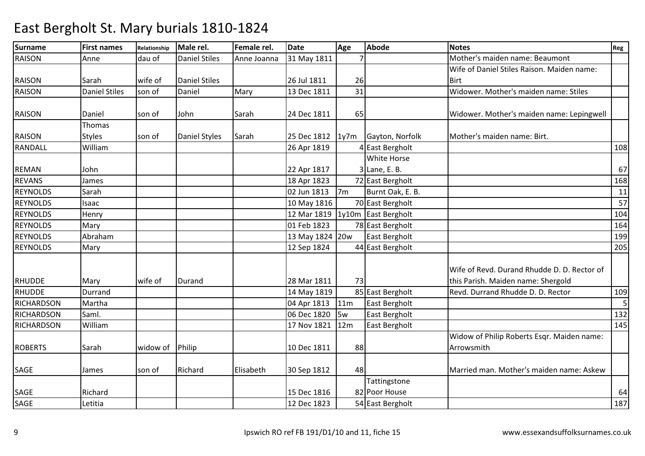| Surname           | <b>First names</b>   | Relationship | Male rel.            | Female rel. | <b>Date</b>     | Age            | <b>Abode</b>         | <b>Notes</b>                                | Reg             |
|-------------------|----------------------|--------------|----------------------|-------------|-----------------|----------------|----------------------|---------------------------------------------|-----------------|
| <b>RAISON</b>     | Anne                 | dau of       | <b>Daniel Stiles</b> | Anne Joanna | 31 May 1811     |                |                      | Mother's maiden name: Beaumont              |                 |
|                   |                      |              |                      |             |                 |                |                      | Wife of Daniel Stiles Raison. Maiden name:  |                 |
| <b>RAISON</b>     | Sarah                | wife of      | <b>Daniel Stiles</b> |             | 26 Jul 1811     | 26             |                      | <b>Birt</b>                                 |                 |
| <b>RAISON</b>     | <b>Daniel Stiles</b> | son of       | Daniel               | Mary        | 13 Dec 1811     | 31             |                      | Widower. Mother's maiden name: Stiles       |                 |
|                   |                      |              |                      |             |                 |                |                      |                                             |                 |
| <b>RAISON</b>     | Daniel               | son of       | John                 | Sarah       | 24 Dec 1811     | 65             |                      | Widower. Mother's maiden name: Lepingwell   |                 |
|                   | Thomas               |              |                      |             |                 |                |                      |                                             |                 |
| <b>RAISON</b>     | <b>Styles</b>        | son of       | Daniel Styles        | Sarah       | 25 Dec 1812     | 1y7m           | Gayton, Norfolk      | Mother's maiden name: Birt.                 |                 |
| <b>RANDALL</b>    | William              |              |                      |             | 26 Apr 1819     |                | <b>East Bergholt</b> |                                             | 108             |
|                   |                      |              |                      |             |                 |                | White Horse          |                                             |                 |
| <b>REMAN</b>      | John                 |              |                      |             | 22 Apr 1817     |                | $3$ Lane, E. B.      |                                             | 67              |
| <b>REVANS</b>     | James                |              |                      |             | 18 Apr 1823     |                | 72 East Bergholt     |                                             | 168             |
| <b>REYNOLDS</b>   | Sarah                |              |                      |             | 02 Jun 1813     | 7 <sub>m</sub> | Burnt Oak, E. B.     |                                             | 11              |
| <b>REYNOLDS</b>   | Isaac                |              |                      |             | 10 May 1816     |                | 70 East Bergholt     |                                             | $\overline{57}$ |
| <b>REYNOLDS</b>   | Henry                |              |                      |             | 12 Mar 1819     |                | 1y10m East Bergholt  |                                             | 104             |
| <b>REYNOLDS</b>   | Mary                 |              |                      |             | 01 Feb 1823     |                | 78 East Bergholt     |                                             | 164             |
| <b>REYNOLDS</b>   | Abraham              |              |                      |             | 13 May 1824 20w |                | East Bergholt        |                                             | 199             |
| <b>REYNOLDS</b>   | Mary                 |              |                      |             | 12 Sep 1824     |                | 44 East Bergholt     |                                             | 205             |
|                   |                      |              |                      |             |                 |                |                      |                                             |                 |
|                   |                      |              |                      |             |                 |                |                      | Wife of Revd. Durand Rhudde D. D. Rector of |                 |
| <b>RHUDDE</b>     | Mary                 | wife of      | Durand               |             | 28 Mar 1811     | 73             |                      | this Parish. Maiden name: Shergold          |                 |
| <b>RHUDDE</b>     | Durrand              |              |                      |             | 14 May 1819     |                | 85 East Bergholt     | Revd. Durrand Rhudde D. D. Rector           | 109             |
| <b>RICHARDSON</b> | Martha               |              |                      |             | 04 Apr 1813     | 11m            | East Bergholt        |                                             | 5               |
| <b>RICHARDSON</b> | Saml.                |              |                      |             | 06 Dec 1820     | 5w             | East Bergholt        |                                             | 132             |
| <b>RICHARDSON</b> | William              |              |                      |             | 17 Nov 1821     | 12m            | East Bergholt        |                                             | 145             |
|                   |                      |              |                      |             |                 |                |                      | Widow of Philip Roberts Esqr. Maiden name:  |                 |
| <b>ROBERTS</b>    | Sarah                | widow of     | Philip               |             | 10 Dec 1811     | 88             |                      | Arrowsmith                                  |                 |
|                   |                      |              |                      |             |                 |                |                      |                                             |                 |
| SAGE              | James                | son of       | Richard              | Elisabeth   | 30 Sep 1812     | 48             |                      | Married man. Mother's maiden name: Askew    |                 |
|                   |                      |              |                      |             |                 |                | Tattingstone         |                                             |                 |
| SAGE              | Richard              |              |                      |             | 15 Dec 1816     |                | 82 Poor House        |                                             | 64              |
| SAGE              | Letitia              |              |                      |             | 12 Dec 1823     |                | 54 East Bergholt     |                                             | 187             |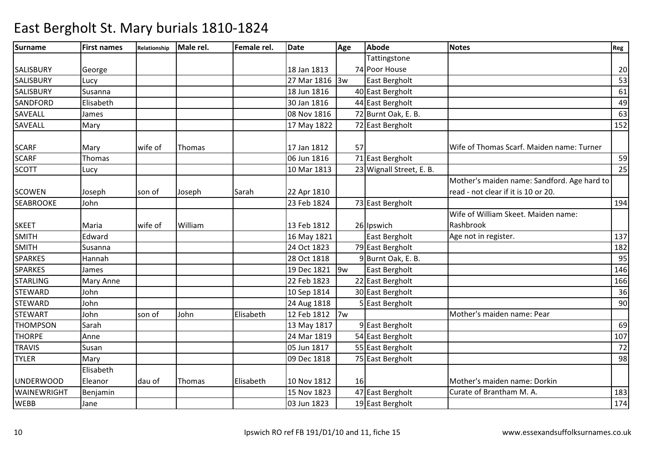| <b>Surname</b>     | <b>First names</b>   | Relationship | Male rel. | Female rel. | Date        | Age | <b>Abode</b>             | <b>Notes</b>                                                                       | Reg |
|--------------------|----------------------|--------------|-----------|-------------|-------------|-----|--------------------------|------------------------------------------------------------------------------------|-----|
|                    |                      |              |           |             |             |     | Tattingstone             |                                                                                    |     |
| <b>SALISBURY</b>   | George               |              |           |             | 18 Jan 1813 |     | 74 Poor House            |                                                                                    | 20  |
| <b>SALISBURY</b>   | Lucy                 |              |           |             | 27 Mar 1816 | 3w  | East Bergholt            |                                                                                    | 53  |
| <b>SALISBURY</b>   | Susanna              |              |           |             | 18 Jun 1816 |     | 40 East Bergholt         |                                                                                    | 61  |
| <b>SANDFORD</b>    | Elisabeth            |              |           |             | 30 Jan 1816 |     | 44 East Bergholt         |                                                                                    | 49  |
| <b>SAVEALL</b>     | James                |              |           |             | 08 Nov 1816 |     | 72 Burnt Oak, E. B.      |                                                                                    | 63  |
| <b>SAVEALL</b>     | Mary                 |              |           |             | 17 May 1822 |     | 72 East Bergholt         |                                                                                    | 152 |
| <b>SCARF</b>       | Mary                 | wife of      | Thomas    |             | 17 Jan 1812 | 57  |                          | Wife of Thomas Scarf. Maiden name: Turner                                          |     |
| <b>SCARF</b>       | Thomas               |              |           |             | 06 Jun 1816 |     | 71 East Bergholt         |                                                                                    | 59  |
| <b>SCOTT</b>       | Lucy                 |              |           |             | 10 Mar 1813 |     | 23 Wignall Street, E. B. |                                                                                    | 25  |
| <b>SCOWEN</b>      | Joseph               | son of       | Joseph    | Sarah       | 22 Apr 1810 |     |                          | Mother's maiden name: Sandford. Age hard to<br>read - not clear if it is 10 or 20. |     |
| <b>SEABROOKE</b>   | John                 |              |           |             | 23 Feb 1824 |     | 73 East Bergholt         |                                                                                    | 194 |
| <b>SKEET</b>       | Maria                | wife of      | William   |             | 13 Feb 1812 |     | 26 Ipswich               | Wife of William Skeet. Maiden name:<br>Rashbrook                                   |     |
| <b>SMITH</b>       | Edward               |              |           |             | 16 May 1821 |     | East Bergholt            | Age not in register.                                                               | 137 |
| <b>SMITH</b>       | Susanna              |              |           |             | 24 Oct 1823 |     | 79 East Bergholt         |                                                                                    | 182 |
| <b>SPARKES</b>     | Hannah               |              |           |             | 28 Oct 1818 |     | 9 Burnt Oak, E. B.       |                                                                                    | 95  |
| <b>SPARKES</b>     | James                |              |           |             | 19 Dec 1821 | 9w  | East Bergholt            |                                                                                    | 146 |
| <b>STARLING</b>    | Mary Anne            |              |           |             | 22 Feb 1823 |     | 22 East Bergholt         |                                                                                    | 166 |
| <b>STEWARD</b>     | John                 |              |           |             | 10 Sep 1814 |     | 30 East Bergholt         |                                                                                    | 36  |
| <b>STEWARD</b>     | John                 |              |           |             | 24 Aug 1818 |     | 5 East Bergholt          |                                                                                    | 90  |
| <b>STEWART</b>     | John                 | son of       | John      | Elisabeth   | 12 Feb 1812 | 7w  |                          | Mother's maiden name: Pear                                                         |     |
| <b>THOMPSON</b>    | Sarah                |              |           |             | 13 May 1817 |     | 9 East Bergholt          |                                                                                    | 69  |
| <b>THORPE</b>      | Anne                 |              |           |             | 24 Mar 1819 |     | 54 East Bergholt         |                                                                                    | 107 |
| <b>TRAVIS</b>      | Susan                |              |           |             | 05 Jun 1817 |     | 55 East Bergholt         |                                                                                    | 72  |
| <b>TYLER</b>       | Mary                 |              |           |             | 09 Dec 1818 |     | 75 East Bergholt         |                                                                                    | 98  |
| <b>UNDERWOOD</b>   | Elisabeth<br>Eleanor | dau of       | Thomas    | Elisabeth   | 10 Nov 1812 | 16  |                          | Mother's maiden name: Dorkin                                                       |     |
| <b>WAINEWRIGHT</b> | Benjamin             |              |           |             | 15 Nov 1823 |     | 47 East Bergholt         | Curate of Brantham M. A.                                                           | 183 |
| <b>WEBB</b>        | Jane                 |              |           |             | 03 Jun 1823 |     | 19 East Bergholt         |                                                                                    | 174 |
|                    |                      |              |           |             |             |     |                          |                                                                                    |     |